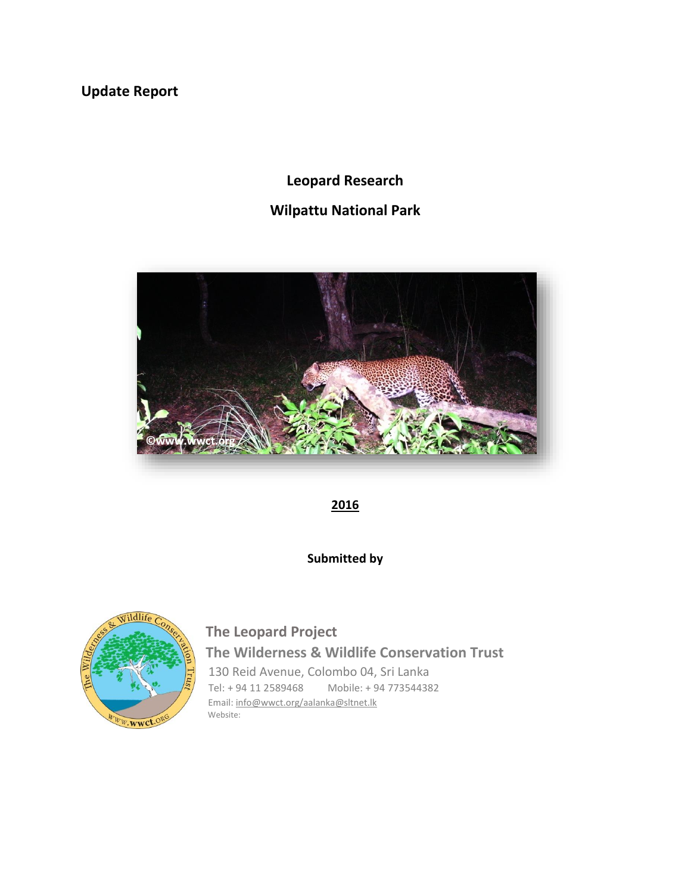**Update Report**

# **Leopard Research**

# **Wilpattu National Park**



**2016**

**Submitted by**



# **The Leopard Project The Wilderness & Wildlife Conservation Trust** 130 Reid Avenue, Colombo 04, Sri Lanka

Tel: + 94 11 2589468 Mobile: + 94 773544382 Email: [info@wwct.org/aalanka@sltnet.lk](mailto:info@wwct.org/aalanka@sltnet.lk) Website: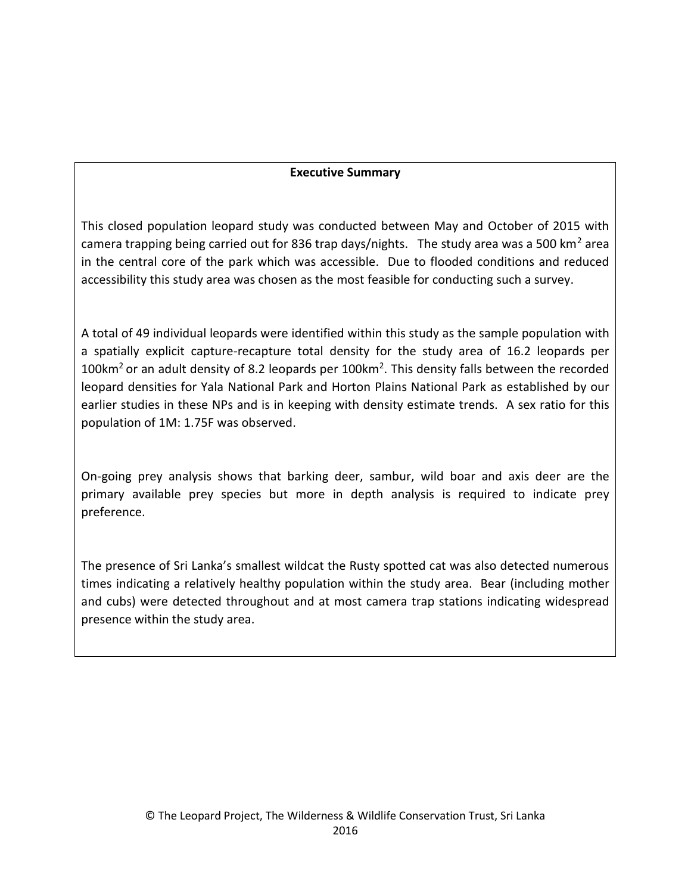#### **Executive Summary**

This closed population leopard study was conducted between May and October of 2015 with camera trapping being carried out for 836 trap days/nights. The study area was a 500 km<sup>2</sup> area in the central core of the park which was accessible. Due to flooded conditions and reduced accessibility this study area was chosen as the most feasible for conducting such a survey.

A total of 49 individual leopards were identified within this study as the sample population with a spatially explicit capture-recapture total density for the study area of 16.2 leopards per 100 $km^2$  or an adult density of 8.2 leopards per 100 $km^2$ . This density falls between the recorded leopard densities for Yala National Park and Horton Plains National Park as established by our earlier studies in these NPs and is in keeping with density estimate trends. A sex ratio for this population of 1M: 1.75F was observed.

On-going prey analysis shows that barking deer, sambur, wild boar and axis deer are the primary available prey species but more in depth analysis is required to indicate prey preference.

The presence of Sri Lanka's smallest wildcat the Rusty spotted cat was also detected numerous times indicating a relatively healthy population within the study area. Bear (including mother and cubs) were detected throughout and at most camera trap stations indicating widespread presence within the study area.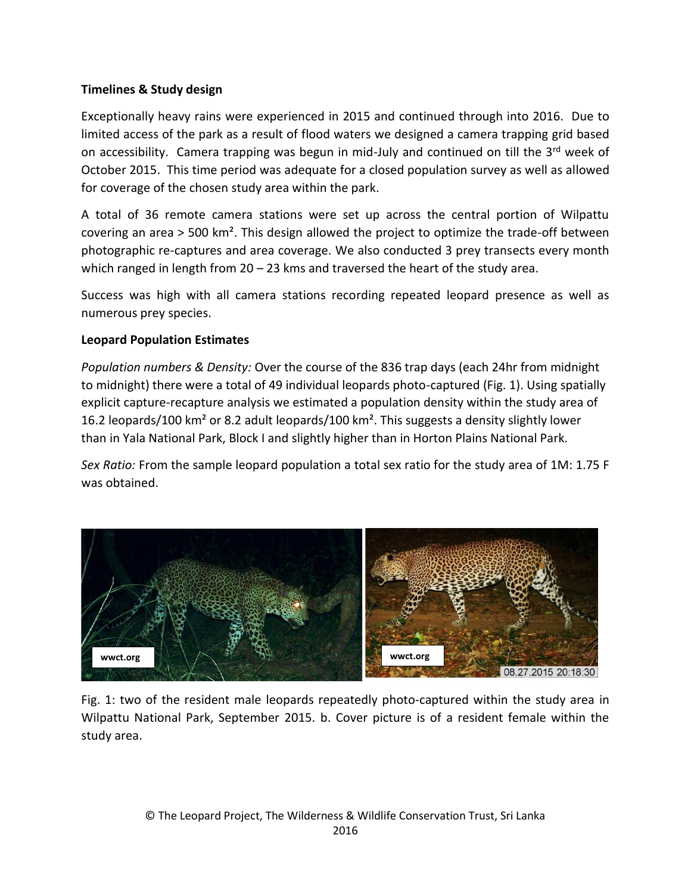## **Timelines & Study design**

Exceptionally heavy rains were experienced in 2015 and continued through into 2016. Due to limited access of the park as a result of flood waters we designed a camera trapping grid based on accessibility. Camera trapping was begun in mid-July and continued on till the 3rd week of October 2015. This time period was adequate for a closed population survey as well as allowed for coverage of the chosen study area within the park.

A total of 36 remote camera stations were set up across the central portion of Wilpattu covering an area  $>$  500 km<sup>2</sup>. This design allowed the project to optimize the trade-off between photographic re-captures and area coverage. We also conducted 3 prey transects every month which ranged in length from  $20 - 23$  kms and traversed the heart of the study area.

Success was high with all camera stations recording repeated leopard presence as well as numerous prey species.

## **Leopard Population Estimates**

*Population numbers & Density:* Over the course of the 836 trap days (each 24hr from midnight to midnight) there were a total of 49 individual leopards photo-captured (Fig. 1). Using spatially explicit capture-recapture analysis we estimated a population density within the study area of 16.2 leopards/100 km² or 8.2 adult leopards/100 km². This suggests a density slightly lower than in Yala National Park, Block I and slightly higher than in Horton Plains National Park.

*Sex Ratio:* From the sample leopard population a total sex ratio for the study area of 1M: 1.75 F was obtained.



Fig. 1: two of the resident male leopards repeatedly photo-captured within the study area in Wilpattu National Park, September 2015. b. Cover picture is of a resident female within the study area.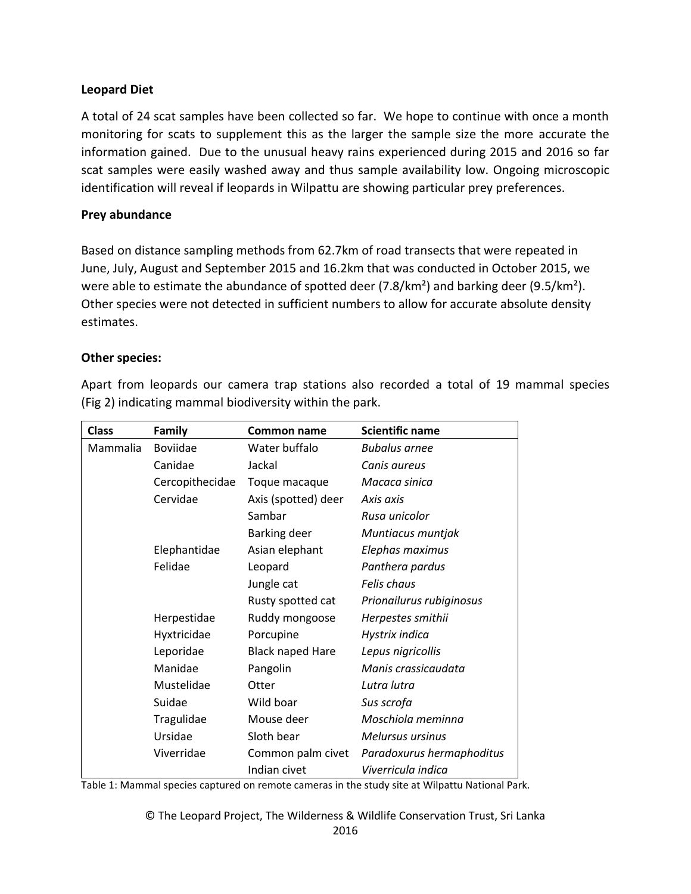#### **Leopard Diet**

A total of 24 scat samples have been collected so far. We hope to continue with once a month monitoring for scats to supplement this as the larger the sample size the more accurate the information gained. Due to the unusual heavy rains experienced during 2015 and 2016 so far scat samples were easily washed away and thus sample availability low. Ongoing microscopic identification will reveal if leopards in Wilpattu are showing particular prey preferences.

#### **Prey abundance**

Based on distance sampling methods from 62.7km of road transects that were repeated in June, July, August and September 2015 and 16.2km that was conducted in October 2015, we were able to estimate the abundance of spotted deer (7.8/km<sup>2</sup>) and barking deer (9.5/km<sup>2</sup>). Other species were not detected in sufficient numbers to allow for accurate absolute density estimates.

#### **Other species:**

Apart from leopards our camera trap stations also recorded a total of 19 mammal species (Fig 2) indicating mammal biodiversity within the park.

| <b>Class</b> | <b>Family</b>   | <b>Common name</b>      | <b>Scientific name</b>    |
|--------------|-----------------|-------------------------|---------------------------|
| Mammalia     | <b>Boviidae</b> | Water buffalo           | <b>Bubalus arnee</b>      |
|              | Canidae         | Jackal                  | Canis aureus              |
|              | Cercopithecidae | Toque macaque           | Macaca sinica             |
|              | Cervidae        | Axis (spotted) deer     | Axis axis                 |
|              |                 | Sambar                  | Rusa unicolor             |
|              |                 | Barking deer            | Muntiacus muntjak         |
|              | Elephantidae    | Asian elephant          | Elephas maximus           |
|              | Felidae         | Leopard                 | Panthera pardus           |
|              |                 | Jungle cat              | Felis chaus               |
|              |                 | Rusty spotted cat       | Prionailurus rubiginosus  |
|              | Herpestidae     | Ruddy mongoose          | Herpestes smithii         |
|              | Hyxtricidae     | Porcupine               | Hystrix indica            |
|              | Leporidae       | <b>Black naped Hare</b> | Lepus nigricollis         |
|              | Manidae         | Pangolin                | Manis crassicaudata       |
|              | Mustelidae      | Otter                   | Lutra lutra               |
|              | Suidae          | Wild boar               | Sus scrofa                |
|              | Tragulidae      | Mouse deer              | Moschiola meminna         |
|              | Ursidae         | Sloth bear              | <b>Melursus ursinus</b>   |
|              | Viverridae      | Common palm civet       | Paradoxurus hermaphoditus |
|              |                 | Indian civet            | Viverricula indica        |

Table 1: Mammal species captured on remote cameras in the study site at Wilpattu National Park.

© The Leopard Project, The Wilderness & Wildlife Conservation Trust, Sri Lanka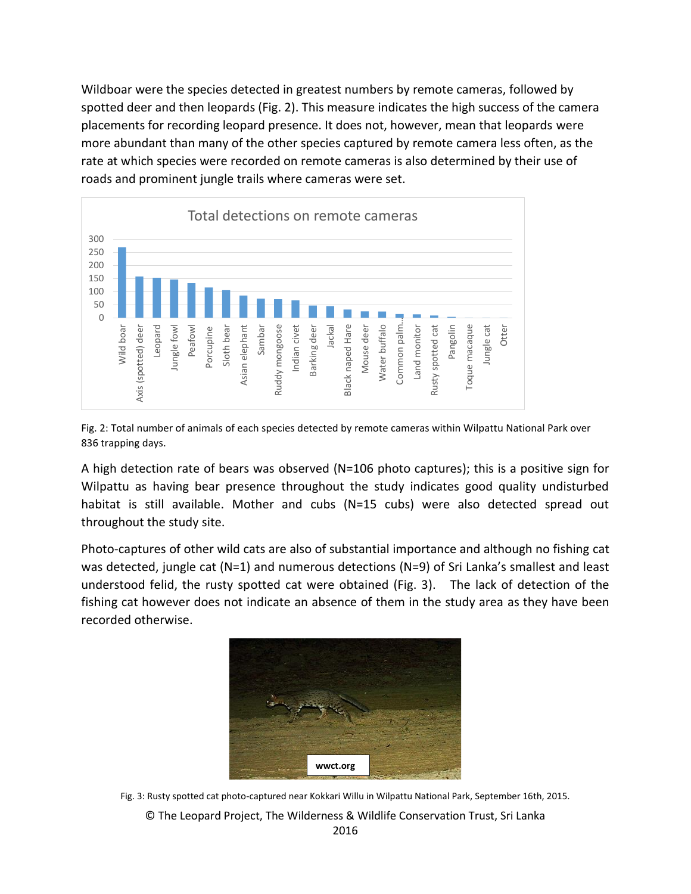Wildboar were the species detected in greatest numbers by remote cameras, followed by spotted deer and then leopards (Fig. 2). This measure indicates the high success of the camera placements for recording leopard presence. It does not, however, mean that leopards were more abundant than many of the other species captured by remote camera less often, as the rate at which species were recorded on remote cameras is also determined by their use of roads and prominent jungle trails where cameras were set.



Fig. 2: Total number of animals of each species detected by remote cameras within Wilpattu National Park over 836 trapping days.

A high detection rate of bears was observed (N=106 photo captures); this is a positive sign for Wilpattu as having bear presence throughout the study indicates good quality undisturbed habitat is still available. Mother and cubs (N=15 cubs) were also detected spread out throughout the study site.

Photo-captures of other wild cats are also of substantial importance and although no fishing cat was detected, jungle cat (N=1) and numerous detections (N=9) of Sri Lanka's smallest and least understood felid, the rusty spotted cat were obtained (Fig. 3). The lack of detection of the fishing cat however does not indicate an absence of them in the study area as they have been recorded otherwise.



Fig. 3: Rusty spotted cat photo-captured near Kokkari Willu in Wilpattu National Park, September 16th, 2015.

© The Leopard Project, The Wilderness & Wildlife Conservation Trust, Sri Lanka